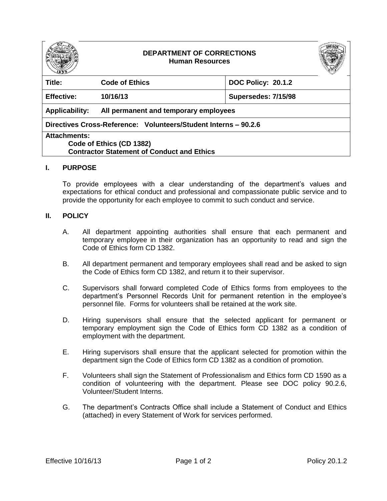

## **DEPARTMENT OF CORRECTIONS Human Resources**



| Title:                                                          | <b>Code of Ethics</b>                 | <b>DOC Policy: 20.1.2</b> |
|-----------------------------------------------------------------|---------------------------------------|---------------------------|
| <b>Effective:</b>                                               | 10/16/13                              | Supersedes: 7/15/98       |
| <b>Applicability:</b>                                           | All permanent and temporary employees |                           |
| Directives Cross-Reference: Volunteers/Student Interns - 90.2.6 |                                       |                           |
| <b>Attachments:</b>                                             |                                       |                           |
| Code of Ethics (CD 1382)                                        |                                       |                           |
| <b>Contractor Statement of Conduct and Ethics</b>               |                                       |                           |

## **I. PURPOSE**

To provide employees with a clear understanding of the department's values and expectations for ethical conduct and professional and compassionate public service and to provide the opportunity for each employee to commit to such conduct and service.

## **II. POLICY**

- A. All department appointing authorities shall ensure that each permanent and temporary employee in their organization has an opportunity to read and sign the Code of Ethics form CD 1382.
- B. All department permanent and temporary employees shall read and be asked to sign the Code of Ethics form CD 1382, and return it to their supervisor.
- C. Supervisors shall forward completed Code of Ethics forms from employees to the department's Personnel Records Unit for permanent retention in the employee's personnel file. Forms for volunteers shall be retained at the work site.
- D. Hiring supervisors shall ensure that the selected applicant for permanent or temporary employment sign the Code of Ethics form CD 1382 as a condition of employment with the department.
- E. Hiring supervisors shall ensure that the applicant selected for promotion within the department sign the Code of Ethics form CD 1382 as a condition of promotion.
- F. Volunteers shall sign the Statement of Professionalism and Ethics form CD 1590 as a condition of volunteering with the department. Please see DOC policy 90.2.6, Volunteer/Student Interns.
- G. The department's Contracts Office shall include a Statement of Conduct and Ethics (attached) in every Statement of Work for services performed.